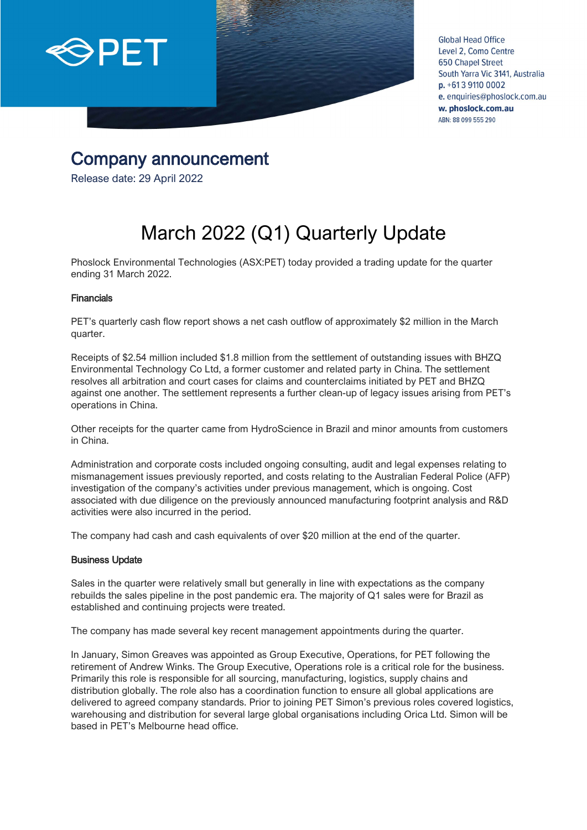

**Global Head Office** Level 2, Como Centre **650 Chapel Street** South Yarra Vic 3141, Australia  $p. +61391100002$ e. enquiries@phoslock.com.au w. phoslock.com.au ABN: 88 099 555 290

# Company announcement Release date: 29 April 2022

# March 2022 (Q1) Quarterly Update

Phoslock Environmental Technologies (ASX:PET) today provided a trading update for the quarter ending 31 March 2022.

#### Financials

PET's quarterly cash flow report shows a net cash outflow of approximately \$2 million in the March quarter.

Receipts of \$2.54 million included \$1.8 million from the settlement of outstanding issues with BHZQ Environmental Technology Co Ltd, a former customer and related party in China. The settlement resolves all arbitration and court cases for claims and counterclaims initiated by PET and BHZQ against one another. The settlement represents a further clean-up of legacy issues arising from PET's operations in China.

Other receipts for the quarter came from HydroScience in Brazil and minor amounts from customers in China.

Administration and corporate costs included ongoing consulting, audit and legal expenses relating to mismanagement issues previously reported, and costs relating to the Australian Federal Police (AFP) investigation of the company's activities under previous management, which is ongoing. Cost associated with due diligence on the previously announced manufacturing footprint analysis and R&D activities were also incurred in the period.

The company had cash and cash equivalents of over \$20 million at the end of the quarter.

#### Business Update

Sales in the quarter were relatively small but generally in line with expectations as the company rebuilds the sales pipeline in the post pandemic era. The majority of Q1 sales were for Brazil as established and continuing projects were treated.

The company has made several key recent management appointments during the quarter.

In January, Simon Greaves was appointed as Group Executive, Operations, for PET following the retirement of Andrew Winks. The Group Executive, Operations role is a critical role for the business. Primarily this role is responsible for all sourcing, manufacturing, logistics, supply chains and distribution globally. The role also has a coordination function to ensure all global applications are delivered to agreed company standards. Prior to joining PET Simon's previous roles covered logistics, warehousing and distribution for several large global organisations including Orica Ltd. Simon will be based in PET's Melbourne head office.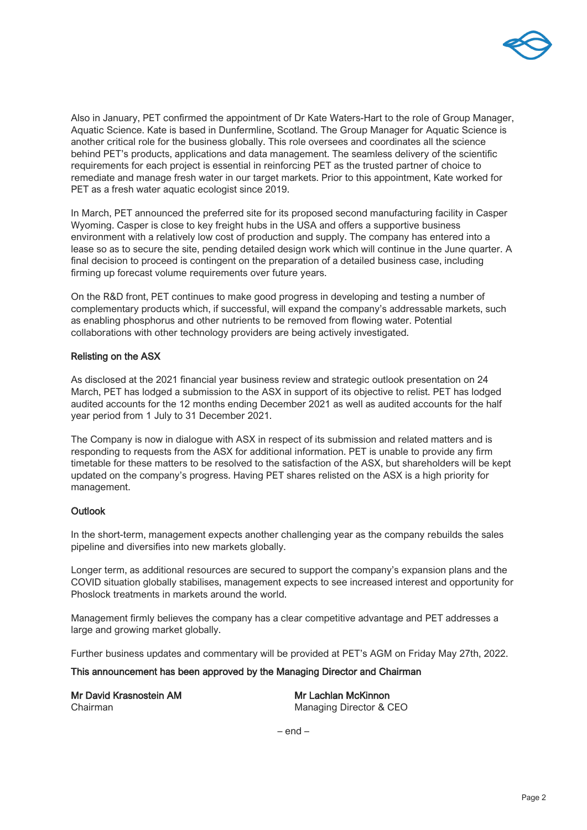

Also in January, PET confirmed the appointment of Dr Kate Waters-Hart to the role of Group Manager, Aquatic Science. Kate is based in Dunfermline, Scotland. The Group Manager for Aquatic Science is another critical role for the business globally. This role oversees and coordinates all the science behind PET's products, applications and data management. The seamless delivery of the scientific requirements for each project is essential in reinforcing PET as the trusted partner of choice to remediate and manage fresh water in our target markets. Prior to this appointment, Kate worked for PET as a fresh water aquatic ecologist since 2019.

In March, PET announced the preferred site for its proposed second manufacturing facility in Casper Wyoming. Casper is close to key freight hubs in the USA and offers a supportive business environment with a relatively low cost of production and supply. The company has entered into a lease so as to secure the site, pending detailed design work which will continue in the June quarter. A final decision to proceed is contingent on the preparation of a detailed business case, including firming up forecast volume requirements over future years.

On the R&D front, PET continues to make good progress in developing and testing a number of complementary products which, if successful, will expand the company's addressable markets, such as enabling phosphorus and other nutrients to be removed from flowing water. Potential collaborations with other technology providers are being actively investigated.

#### Relisting on the ASX

As disclosed at the 2021 financial year business review and strategic outlook presentation on 24 March, PET has lodged a submission to the ASX in support of its objective to relist. PET has lodged audited accounts for the 12 months ending December 2021 as well as audited accounts for the half year period from 1 July to 31 December 2021.

The Company is now in dialogue with ASX in respect of its submission and related matters and is responding to requests from the ASX for additional information. PET is unable to provide any firm timetable for these matters to be resolved to the satisfaction of the ASX, but shareholders will be kept updated on the company's progress. Having PET shares relisted on the ASX is a high priority for management.

#### **Outlook**

In the short-term, management expects another challenging year as the company rebuilds the sales pipeline and diversifies into new markets globally.

Longer term, as additional resources are secured to support the company's expansion plans and the COVID situation globally stabilises, management expects to see increased interest and opportunity for Phoslock treatments in markets around the world.

Management firmly believes the company has a clear competitive advantage and PET addresses a large and growing market globally.

Further business updates and commentary will be provided at PET's AGM on Friday May 27th, 2022.

This announcement has been approved by the Managing Director and Chairman

| Mr David Krasnostein AM | Mr Lachlan McKinnon     |
|-------------------------|-------------------------|
| Chairman                | Managing Director & CEO |

– end –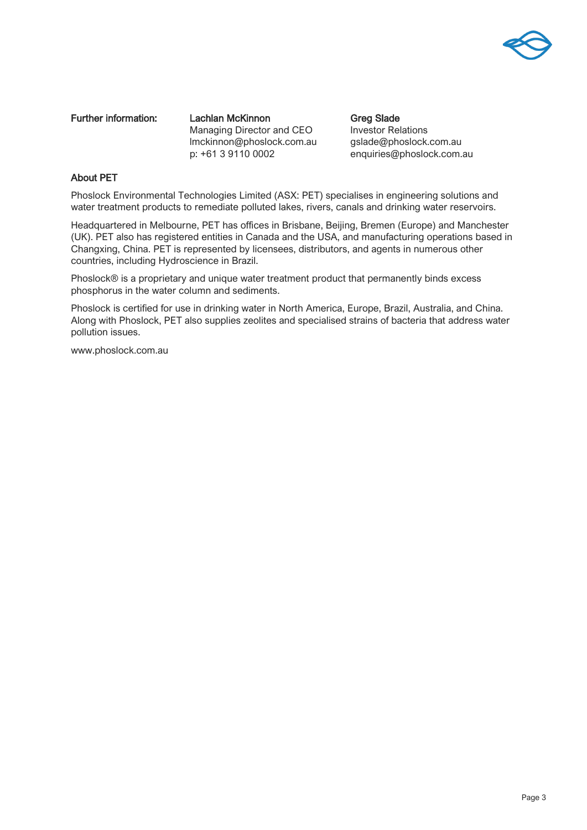

Further information: Lachlan McKinnon Greg Slade Managing Director and CEO Investor Relations lmckinnon@phoslock.com.au gslade@phoslock.com.au p: +61 3 9110 0002 enquiries@phoslock.com.au

#### About PET

Phoslock Environmental Technologies Limited (ASX: PET) specialises in engineering solutions and water treatment products to remediate polluted lakes, rivers, canals and drinking water reservoirs.

Headquartered in Melbourne, PET has offices in Brisbane, Beijing, Bremen (Europe) and Manchester (UK). PET also has registered entities in Canada and the USA, and manufacturing operations based in Changxing, China. PET is represented by licensees, distributors, and agents in numerous other countries, including Hydroscience in Brazil.

Phoslock® is a proprietary and unique water treatment product that permanently binds excess phosphorus in the water column and sediments.

Phoslock is certified for use in drinking water in North America, Europe, Brazil, Australia, and China. Along with Phoslock, PET also supplies zeolites and specialised strains of bacteria that address water pollution issues.

[www.phoslock.com.au](http://www.phoslock.com.au/)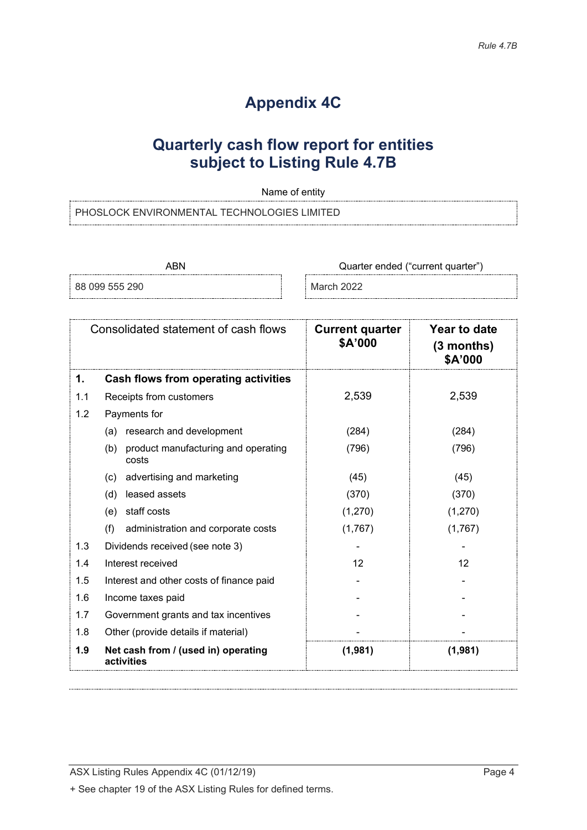## **Appendix 4C**

## **Quarterly cash flow report for entities subject to Listing Rule 4.7B**

Name of entity

PHOSLOCK ENVIRONMENTAL TECHNOLOGIES LIMITED

ABN **ABN** Quarter ended ("current quarter")

88 099 555 290 March 2022

|     | Consolidated statement of cash flows                | <b>Current quarter</b><br>\$A'000 | Year to date<br>$(3$ months)<br>\$A'000 |
|-----|-----------------------------------------------------|-----------------------------------|-----------------------------------------|
| 1.  | Cash flows from operating activities                |                                   |                                         |
| 1.1 | Receipts from customers                             | 2,539                             | 2,539                                   |
| 1.2 | Payments for                                        |                                   |                                         |
|     | (a) research and development                        | (284)                             | (284)                                   |
|     | product manufacturing and operating<br>(b)<br>costs | (796)                             | (796)                                   |
|     | advertising and marketing<br>(c)                    | (45)                              | (45)                                    |
|     | leased assets<br>(d)                                | (370)                             | (370)                                   |
|     | staff costs<br>(e)                                  | (1,270)                           | (1,270)                                 |
|     | (f)<br>administration and corporate costs           | (1,767)                           | (1,767)                                 |
| 1.3 | Dividends received (see note 3)                     |                                   |                                         |
| 1.4 | Interest received                                   | 12                                | 12                                      |
| 1.5 | Interest and other costs of finance paid            |                                   |                                         |
| 1.6 | Income taxes paid                                   |                                   |                                         |
| 1.7 | Government grants and tax incentives                |                                   |                                         |
| 1.8 | Other (provide details if material)                 |                                   |                                         |
| 1.9 | Net cash from / (used in) operating<br>activities   | (1,981)                           | (1,981)                                 |

ASX Listing Rules Appendix 4C (01/12/19) **Page 4**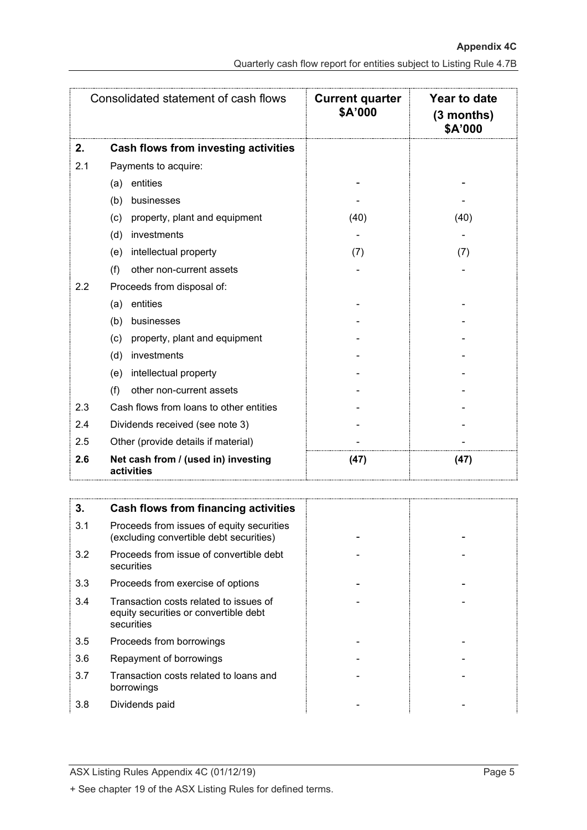|                                                          | Consolidated statement of cash flows    | <b>Current quarter</b><br>\$A'000 | <b>Year to date</b><br>$(3$ months)<br>\$A'000 |
|----------------------------------------------------------|-----------------------------------------|-----------------------------------|------------------------------------------------|
| 2.                                                       | Cash flows from investing activities    |                                   |                                                |
| 2.1                                                      | Payments to acquire:                    |                                   |                                                |
|                                                          | entities<br>(a)                         |                                   |                                                |
|                                                          | businesses<br>(b)                       |                                   |                                                |
|                                                          | property, plant and equipment<br>(c)    | (40)                              | (40)                                           |
|                                                          | investments<br>(d)                      |                                   |                                                |
|                                                          | intellectual property<br>(e)            | (7)                               | (7)                                            |
|                                                          | other non-current assets<br>(f)         |                                   |                                                |
| 2.2                                                      | Proceeds from disposal of:              |                                   |                                                |
|                                                          | entities<br>(a)                         |                                   |                                                |
|                                                          | (b)<br>businesses                       |                                   |                                                |
|                                                          | (c)<br>property, plant and equipment    |                                   |                                                |
|                                                          | investments<br>(d)                      |                                   |                                                |
|                                                          | intellectual property<br>(e)            |                                   |                                                |
|                                                          | other non-current assets<br>(f)         |                                   |                                                |
| 2.3                                                      | Cash flows from loans to other entities |                                   |                                                |
| 2.4                                                      | Dividends received (see note 3)         |                                   |                                                |
| 2.5                                                      | Other (provide details if material)     |                                   |                                                |
| 2.6<br>Net cash from / (used in) investing<br>activities |                                         | (47)                              | (47)                                           |

| 3.  | Cash flows from financing activities                                                          |  |
|-----|-----------------------------------------------------------------------------------------------|--|
| 3.1 | Proceeds from issues of equity securities<br>(excluding convertible debt securities)          |  |
| 3.2 | Proceeds from issue of convertible debt<br>securities                                         |  |
| 3.3 | Proceeds from exercise of options                                                             |  |
| 3.4 | Transaction costs related to issues of<br>equity securities or convertible debt<br>securities |  |
| 3.5 | Proceeds from borrowings                                                                      |  |
| 3.6 | Repayment of borrowings                                                                       |  |
| 3.7 | Transaction costs related to loans and<br>borrowings                                          |  |
| 3.8 | Dividends paid                                                                                |  |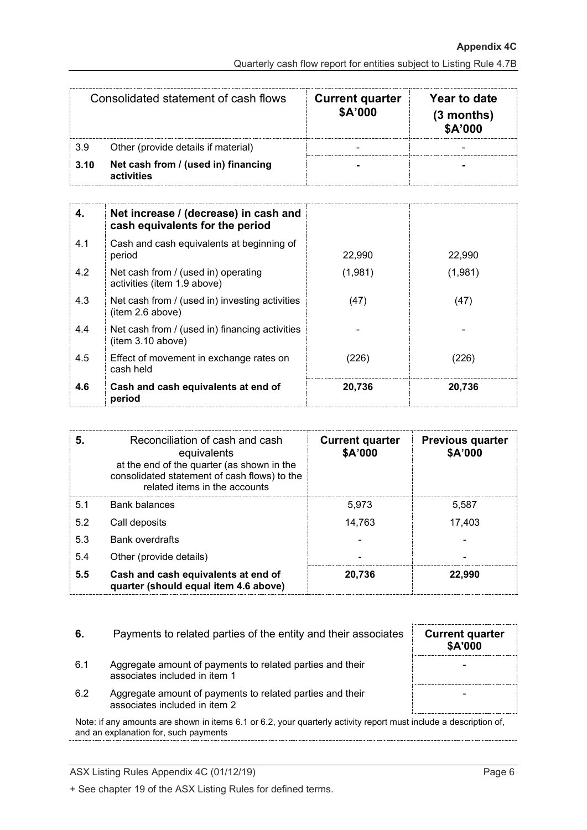| Consolidated statement of cash flows |                                                   | <b>Current quarter</b><br>\$A'000 | Year to date<br>$(3$ months)<br>\$A'000 |
|--------------------------------------|---------------------------------------------------|-----------------------------------|-----------------------------------------|
| 3.9                                  | Other (provide details if material)               |                                   |                                         |
| 3.10                                 | Net cash from / (used in) financing<br>activities |                                   |                                         |

| 4.  | Net increase / (decrease) in cash and<br>cash equivalents for the period |         |         |
|-----|--------------------------------------------------------------------------|---------|---------|
| 4.1 | Cash and cash equivalents at beginning of<br>period                      | 22,990  | 22,990  |
| 4.2 | Net cash from / (used in) operating<br>activities (item 1.9 above)       | (1,981) | (1,981) |
| 4.3 | Net cash from / (used in) investing activities<br>(item 2.6 above)       | (47)    | (47)    |
| 4.4 | Net cash from / (used in) financing activities<br>(item 3.10 above)      |         |         |
| 4.5 | Effect of movement in exchange rates on<br>cash held                     | (226)   | (226)   |
| 4.6 | Cash and cash equivalents at end of<br>period                            | 20,736  | 20,736  |

| 5.  | Reconciliation of cash and cash<br>equivalents<br>at the end of the quarter (as shown in the<br>consolidated statement of cash flows) to the<br>related items in the accounts | <b>Current quarter</b><br>\$A'000 | <b>Previous quarter</b><br>\$A'000 |
|-----|-------------------------------------------------------------------------------------------------------------------------------------------------------------------------------|-----------------------------------|------------------------------------|
| 5.1 | <b>Bank balances</b>                                                                                                                                                          | 5.973                             | 5,587                              |
| 5.2 | Call deposits                                                                                                                                                                 | 14,763                            | 17.403                             |
| 5.3 | <b>Bank overdrafts</b>                                                                                                                                                        |                                   |                                    |
| 5.4 | Other (provide details)                                                                                                                                                       |                                   |                                    |
| 5.5 | Cash and cash equivalents at end of<br>quarter (should equal item 4.6 above)                                                                                                  | 20.736                            | 22.990                             |

| 6.  | Payments to related parties of the entity and their associates                             | <b>Current quarter</b><br><b>\$A'000</b> |
|-----|--------------------------------------------------------------------------------------------|------------------------------------------|
| 6.1 | Aggregate amount of payments to related parties and their<br>associates included in item 1 |                                          |
| 6.2 | Aggregate amount of payments to related parties and their<br>associates included in item 2 |                                          |

Note: if any amounts are shown in items 6.1 or 6.2, your quarterly activity report must include a description of, and an explanation for, such payments

ASX Listing Rules Appendix 4C (01/12/19) Page 6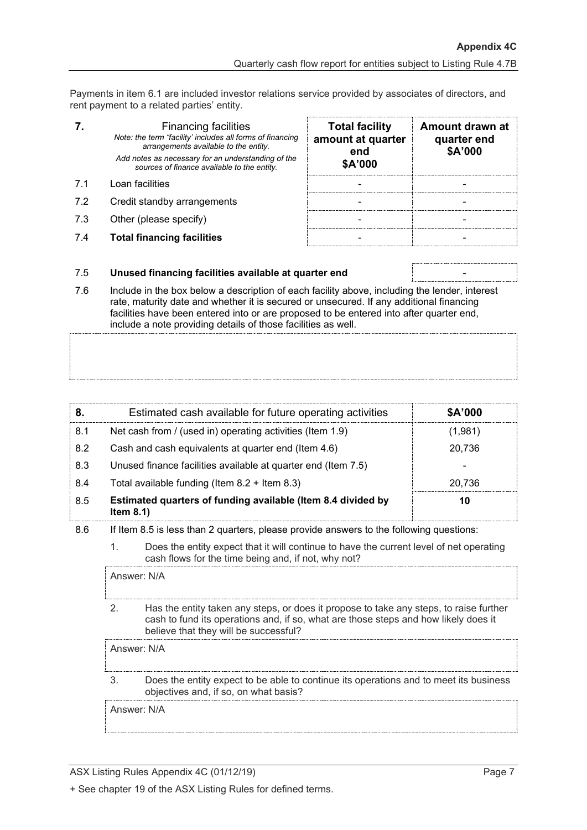Payments in item 6.1 are included investor relations service provided by associates of directors, and rent payment to a related parties' entity.

|     | <b>Financing facilities</b><br>Note: the term "facility' includes all forms of financing<br>arrangements available to the entity.<br>Add notes as necessary for an understanding of the<br>sources of finance available to the entity. | <b>Total facility</b><br>amount at quarter<br>end<br>\$A'000 | Amount drawn at<br>quarter end<br>\$A'000 |
|-----|----------------------------------------------------------------------------------------------------------------------------------------------------------------------------------------------------------------------------------------|--------------------------------------------------------------|-------------------------------------------|
| 71  | Loan facilities                                                                                                                                                                                                                        |                                                              |                                           |
| 7.2 | Credit standby arrangements                                                                                                                                                                                                            |                                                              |                                           |
| 7.3 | Other (please specify)                                                                                                                                                                                                                 |                                                              |                                           |
|     | <b>Total financing facilities</b>                                                                                                                                                                                                      |                                                              |                                           |

#### 7.5 **Unused financing facilities available at quarter end** -

7.6 Include in the box below a description of each facility above, including the lender, interest rate, maturity date and whether it is secured or unsecured. If any additional financing facilities have been entered into or are proposed to be entered into after quarter end, include a note providing details of those facilities as well.

|     | Estimated cash available for future operating activities                     | \$A'000 |
|-----|------------------------------------------------------------------------------|---------|
| 8.1 | Net cash from / (used in) operating activities (Item 1.9)                    | (1,981) |
| 8.2 | Cash and cash equivalents at quarter end (Item 4.6)                          | 20,736  |
| 8.3 | Unused finance facilities available at quarter end (Item 7.5)                |         |
| 8.4 | Total available funding (Item $8.2 +$ Item $8.3$ )                           | 20.736  |
| 8.5 | Estimated quarters of funding available (Item 8.4 divided by<br>Item $8.1$ ) | 10      |

8.6 If Item 8.5 is less than 2 quarters, please provide answers to the following questions:

1. Does the entity expect that it will continue to have the current level of net operating cash flows for the time being and, if not, why not?

Answer: N/A

2. Has the entity taken any steps, or does it propose to take any steps, to raise further cash to fund its operations and, if so, what are those steps and how likely does it believe that they will be successful?

Answer: N/A

3. Does the entity expect to be able to continue its operations and to meet its business objectives and, if so, on what basis?

Answer: N/A

ASX Listing Rules Appendix 4C (01/12/19) **Page 7** Page 7